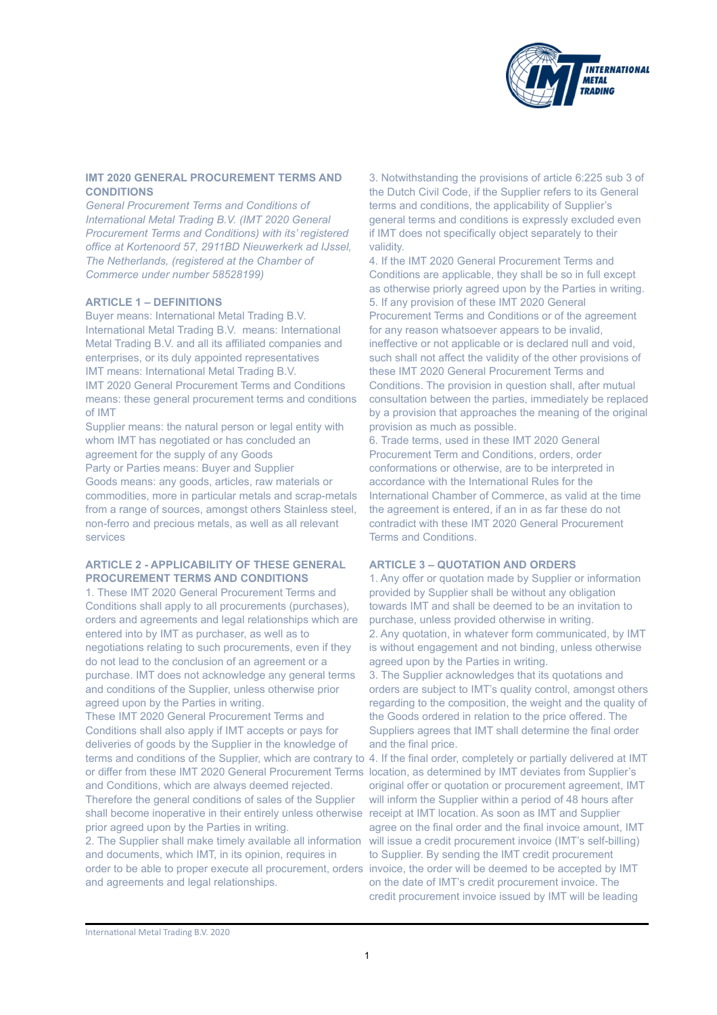

# **IMT 2020 GENERAL PROCUREMENT TERMS AND CONDITIONS**

*General Procurement Terms and Conditions of International Metal Trading B.V. (IMT 2020 General Procurement Terms and Conditions) with its' registered office at Kortenoord 57, 2911BD Nieuwerkerk ad IJssel, The Netherlands, (registered at the Chamber of Commerce under number 58528199)* 

#### **ARTICLE 1 – DEFINITIONS**

Buyer means: International Metal Trading B.V. International Metal Trading B.V. means: International Metal Trading B.V. and all its affiliated companies and enterprises, or its duly appointed representatives IMT means: International Metal Trading B.V. IMT 2020 General Procurement Terms and Conditions means: these general procurement terms and conditions of IMT Supplier means: the natural person or legal entity with

whom IMT has negotiated or has concluded an agreement for the supply of any Goods Party or Parties means: Buyer and Supplier Goods means: any goods, articles, raw materials or commodities, more in particular metals and scrap-metals from a range of sources, amongst others Stainless steel, non-ferro and precious metals, as well as all relevant services

# **ARTICLE 2 - APPLICABILITY OF THESE GENERAL PROCUREMENT TERMS AND CONDITIONS**

1. These IMT 2020 General Procurement Terms and Conditions shall apply to all procurements (purchases), orders and agreements and legal relationships which are entered into by IMT as purchaser, as well as to negotiations relating to such procurements, even if they do not lead to the conclusion of an agreement or a purchase. IMT does not acknowledge any general terms and conditions of the Supplier, unless otherwise prior agreed upon by the Parties in writing.

These IMT 2020 General Procurement Terms and Conditions shall also apply if IMT accepts or pays for deliveries of goods by the Supplier in the knowledge of terms and conditions of the Supplier, which are contrary to or differ from these IMT 2020 General Procurement Terms and Conditions, which are always deemed rejected. Therefore the general conditions of sales of the Supplier shall become inoperative in their entirely unless otherwise receipt at IMT location. As soon as IMT and Supplier prior agreed upon by the Parties in writing. 2. The Supplier shall make timely available all information

and documents, which IMT, in its opinion, requires in order to be able to proper execute all procurement, orders and agreements and legal relationships.

3. Notwithstanding the provisions of article 6:225 sub 3 of the Dutch Civil Code, if the Supplier refers to its General terms and conditions, the applicability of Supplier's general terms and conditions is expressly excluded even if IMT does not specifically object separately to their validity.

4. If the IMT 2020 General Procurement Terms and Conditions are applicable, they shall be so in full except as otherwise priorly agreed upon by the Parties in writing. 5. If any provision of these IMT 2020 General Procurement Terms and Conditions or of the agreement for any reason whatsoever appears to be invalid, ineffective or not applicable or is declared null and void, such shall not affect the validity of the other provisions of these IMT 2020 General Procurement Terms and Conditions. The provision in question shall, after mutual consultation between the parties, immediately be replaced by a provision that approaches the meaning of the original provision as much as possible.

6. Trade terms, used in these IMT 2020 General Procurement Term and Conditions, orders, order conformations or otherwise, are to be interpreted in accordance with the International Rules for the International Chamber of Commerce, as valid at the time the agreement is entered, if an in as far these do not contradict with these IMT 2020 General Procurement Terms and Conditions.

### **ARTICLE 3 – QUOTATION AND ORDERS**

1. Any offer or quotation made by Supplier or information provided by Supplier shall be without any obligation towards IMT and shall be deemed to be an invitation to purchase, unless provided otherwise in writing. 2. Any quotation, in whatever form communicated, by IMT is without engagement and not binding, unless otherwise agreed upon by the Parties in writing.

3. The Supplier acknowledges that its quotations and orders are subject to IMT's quality control, amongst others regarding to the composition, the weight and the quality of the Goods ordered in relation to the price offered. The Suppliers agrees that IMT shall determine the final order and the final price.

4. If the final order, completely or partially delivered at IMT location, as determined by IMT deviates from Supplier's original offer or quotation or procurement agreement, IMT will inform the Supplier within a period of 48 hours after agree on the final order and the final invoice amount, IMT will issue a credit procurement invoice (IMT's self-billing) to Supplier. By sending the IMT credit procurement invoice, the order will be deemed to be accepted by IMT on the date of IMT's credit procurement invoice. The credit procurement invoice issued by IMT will be leading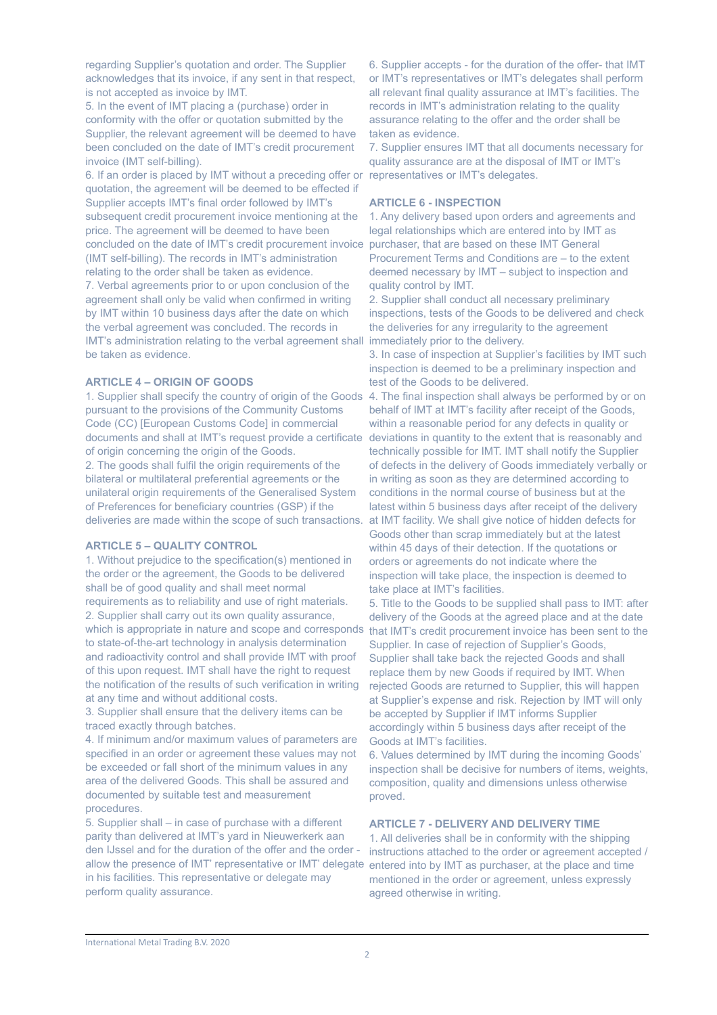regarding Supplier's quotation and order. The Supplier acknowledges that its invoice, if any sent in that respect, is not accepted as invoice by IMT.

5. In the event of IMT placing a (purchase) order in conformity with the offer or quotation submitted by the Supplier, the relevant agreement will be deemed to have been concluded on the date of IMT's credit procurement invoice (IMT self-billing).

6. If an order is placed by IMT without a preceding offer or quotation, the agreement will be deemed to be effected if Supplier accepts IMT's final order followed by IMT's subsequent credit procurement invoice mentioning at the price. The agreement will be deemed to have been concluded on the date of IMT's credit procurement invoice (IMT self-billing). The records in IMT's administration relating to the order shall be taken as evidence. 7. Verbal agreements prior to or upon conclusion of the agreement shall only be valid when confirmed in writing by IMT within 10 business days after the date on which the verbal agreement was concluded. The records in IMT's administration relating to the verbal agreement shall immediately prior to the delivery. be taken as evidence.

#### **ARTICLE 4 – ORIGIN OF GOODS**

1. Supplier shall specify the country of origin of the Goods pursuant to the provisions of the Community Customs Code (CC) [European Customs Code] in commercial documents and shall at IMT's request provide a certificate of origin concerning the origin of the Goods. 2. The goods shall fulfil the origin requirements of the bilateral or multilateral preferential agreements or the unilateral origin requirements of the Generalised System of Preferences for beneficiary countries (GSP) if the deliveries are made within the scope of such transactions.

## **ARTICLE 5 – QUALITY CONTROL**

1. Without prejudice to the specification(s) mentioned in the order or the agreement, the Goods to be delivered shall be of good quality and shall meet normal requirements as to reliability and use of right materials. 2. Supplier shall carry out its own quality assurance, which is appropriate in nature and scope and corresponds to state-of-the-art technology in analysis determination and radioactivity control and shall provide IMT with proof of this upon request. IMT shall have the right to request the notification of the results of such verification in writing at any time and without additional costs.

3. Supplier shall ensure that the delivery items can be traced exactly through batches.

4. If minimum and/or maximum values of parameters are specified in an order or agreement these values may not be exceeded or fall short of the minimum values in any area of the delivered Goods. This shall be assured and documented by suitable test and measurement procedures.

5. Supplier shall – in case of purchase with a different parity than delivered at IMT's yard in Nieuwerkerk aan den IJssel and for the duration of the offer and the order allow the presence of IMT' representative or IMT' delegate in his facilities. This representative or delegate may perform quality assurance.

6. Supplier accepts - for the duration of the offer- that IMT or IMT's representatives or IMT's delegates shall perform all relevant final quality assurance at IMT's facilities. The records in IMT's administration relating to the quality assurance relating to the offer and the order shall be taken as evidence.

7. Supplier ensures IMT that all documents necessary for quality assurance are at the disposal of IMT or IMT's representatives or IMT's delegates.

### **ARTICLE 6 - INSPECTION**

1. Any delivery based upon orders and agreements and legal relationships which are entered into by IMT as purchaser, that are based on these IMT General Procurement Terms and Conditions are – to the extent deemed necessary by IMT – subject to inspection and quality control by IMT.

2. Supplier shall conduct all necessary preliminary inspections, tests of the Goods to be delivered and check the deliveries for any irregularity to the agreement

3. In case of inspection at Supplier's facilities by IMT such inspection is deemed to be a preliminary inspection and test of the Goods to be delivered.

4. The final inspection shall always be performed by or on behalf of IMT at IMT's facility after receipt of the Goods, within a reasonable period for any defects in quality or deviations in quantity to the extent that is reasonably and technically possible for IMT. IMT shall notify the Supplier of defects in the delivery of Goods immediately verbally or in writing as soon as they are determined according to conditions in the normal course of business but at the latest within 5 business days after receipt of the delivery at IMT facility. We shall give notice of hidden defects for Goods other than scrap immediately but at the latest within 45 days of their detection. If the quotations or orders or agreements do not indicate where the inspection will take place, the inspection is deemed to take place at IMT's facilities.

5. Title to the Goods to be supplied shall pass to IMT: after delivery of the Goods at the agreed place and at the date that IMT's credit procurement invoice has been sent to the Supplier. In case of rejection of Supplier's Goods, Supplier shall take back the rejected Goods and shall replace them by new Goods if required by IMT. When rejected Goods are returned to Supplier, this will happen at Supplier's expense and risk. Rejection by IMT will only be accepted by Supplier if IMT informs Supplier accordingly within 5 business days after receipt of the Goods at IMT's facilities.

6. Values determined by IMT during the incoming Goods' inspection shall be decisive for numbers of items, weights, composition, quality and dimensions unless otherwise proved.

# **ARTICLE 7 - DELIVERY AND DELIVERY TIME**

1. All deliveries shall be in conformity with the shipping instructions attached to the order or agreement accepted / entered into by IMT as purchaser, at the place and time mentioned in the order or agreement, unless expressly agreed otherwise in writing.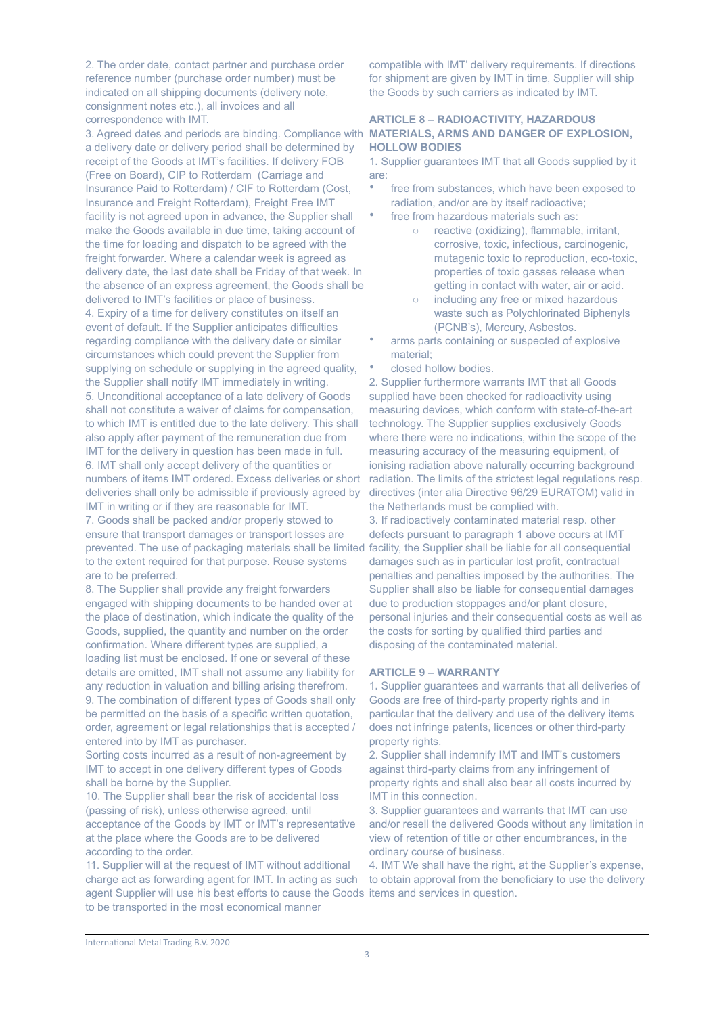2. The order date, contact partner and purchase order reference number (purchase order number) must be indicated on all shipping documents (delivery note, consignment notes etc.), all invoices and all correspondence with IMT.

3. Agreed dates and periods are binding. Compliance with a delivery date or delivery period shall be determined by receipt of the Goods at IMT's facilities. If delivery FOB (Free on Board), CIP to Rotterdam (Carriage and Insurance Paid to Rotterdam) / CIF to Rotterdam (Cost, Insurance and Freight Rotterdam), Freight Free IMT facility is not agreed upon in advance, the Supplier shall make the Goods available in due time, taking account of the time for loading and dispatch to be agreed with the freight forwarder. Where a calendar week is agreed as delivery date, the last date shall be Friday of that week. In the absence of an express agreement, the Goods shall be delivered to IMT's facilities or place of business. 4. Expiry of a time for delivery constitutes on itself an event of default. If the Supplier anticipates difficulties regarding compliance with the delivery date or similar circumstances which could prevent the Supplier from supplying on schedule or supplying in the agreed quality, the Supplier shall notify IMT immediately in writing. 5. Unconditional acceptance of a late delivery of Goods shall not constitute a waiver of claims for compensation, to which IMT is entitled due to the late delivery. This shall also apply after payment of the remuneration due from IMT for the delivery in question has been made in full. 6. IMT shall only accept delivery of the quantities or numbers of items IMT ordered. Excess deliveries or short deliveries shall only be admissible if previously agreed by IMT in writing or if they are reasonable for IMT.

7. Goods shall be packed and/or properly stowed to ensure that transport damages or transport losses are prevented. The use of packaging materials shall be limited facility, the Supplier shall be liable for all consequential to the extent required for that purpose. Reuse systems are to be preferred.

8. The Supplier shall provide any freight forwarders engaged with shipping documents to be handed over at the place of destination, which indicate the quality of the Goods, supplied, the quantity and number on the order confirmation. Where different types are supplied, a loading list must be enclosed. If one or several of these details are omitted, IMT shall not assume any liability for any reduction in valuation and billing arising therefrom. 9. The combination of different types of Goods shall only be permitted on the basis of a specific written quotation, order, agreement or legal relationships that is accepted / entered into by IMT as purchaser.

Sorting costs incurred as a result of non-agreement by IMT to accept in one delivery different types of Goods shall be borne by the Supplier.

10. The Supplier shall bear the risk of accidental loss (passing of risk), unless otherwise agreed, until acceptance of the Goods by IMT or IMT's representative at the place where the Goods are to be delivered according to the order.

11. Supplier will at the request of IMT without additional charge act as forwarding agent for IMT. In acting as such agent Supplier will use his best efforts to cause the Goods items and services in question. to be transported in the most economical manner

compatible with IMT' delivery requirements. If directions for shipment are given by IMT in time, Supplier will ship the Goods by such carriers as indicated by IMT.

#### **ARTICLE 8 – RADIOACTIVITY, HAZARDOUS MATERIALS, ARMS AND DANGER OF EXPLOSION, HOLLOW BODIES**

1**.** Supplier guarantees IMT that all Goods supplied by it are:

- free from substances, which have been exposed to radiation, and/or are by itself radioactive;
- free from hazardous materials such as:
	- o reactive (oxidizing), flammable, irritant, corrosive, toxic, infectious, carcinogenic, mutagenic toxic to reproduction, eco-toxic, properties of toxic gasses release when getting in contact with water, air or acid.
	- o including any free or mixed hazardous waste such as Polychlorinated Biphenyls (PCNB's), Mercury, Asbestos.
- arms parts containing or suspected of explosive material;
- closed hollow bodies.

2. Supplier furthermore warrants IMT that all Goods supplied have been checked for radioactivity using measuring devices, which conform with state-of-the-art technology. The Supplier supplies exclusively Goods where there were no indications, within the scope of the measuring accuracy of the measuring equipment, of ionising radiation above naturally occurring background radiation. The limits of the strictest legal regulations resp. directives (inter alia Directive 96/29 EURATOM) valid in the Netherlands must be complied with.

3. If radioactively contaminated material resp. other defects pursuant to paragraph 1 above occurs at IMT damages such as in particular lost profit, contractual penalties and penalties imposed by the authorities. The Supplier shall also be liable for consequential damages due to production stoppages and/or plant closure, personal injuries and their consequential costs as well as the costs for sorting by qualified third parties and disposing of the contaminated material.

## **ARTICLE 9 – WARRANTY**

1**.** Supplier guarantees and warrants that all deliveries of Goods are free of third-party property rights and in particular that the delivery and use of the delivery items does not infringe patents, licences or other third-party property rights.

2. Supplier shall indemnify IMT and IMT's customers against third-party claims from any infringement of property rights and shall also bear all costs incurred by IMT in this connection.

3. Supplier guarantees and warrants that IMT can use and/or resell the delivered Goods without any limitation in view of retention of title or other encumbrances, in the ordinary course of business.

4. IMT We shall have the right, at the Supplier's expense, to obtain approval from the beneficiary to use the delivery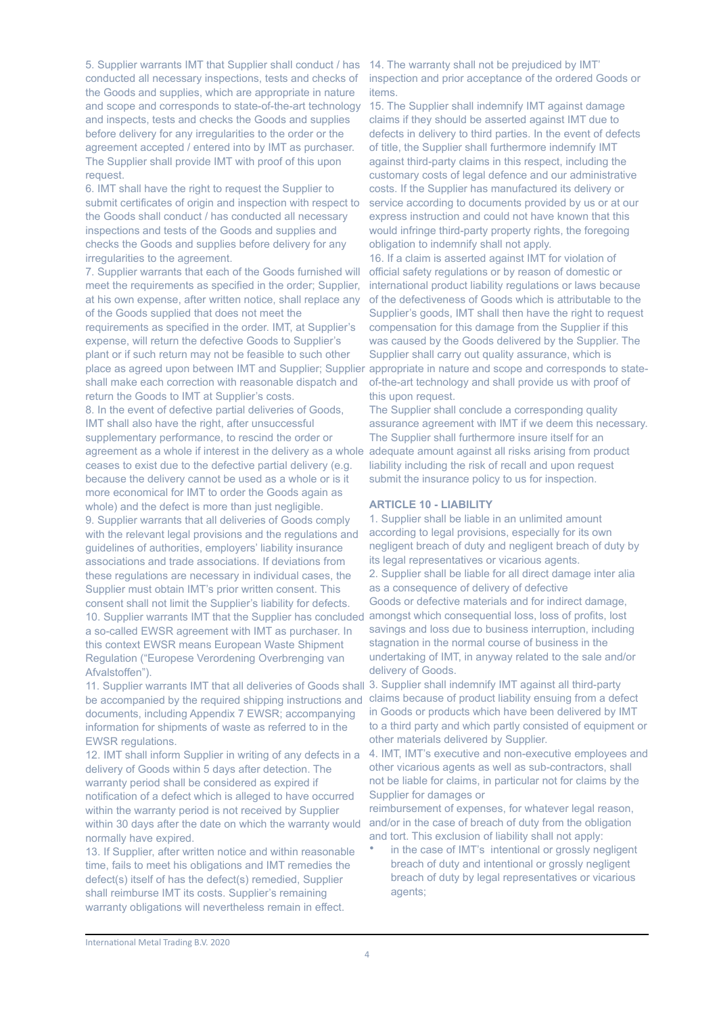5. Supplier warrants IMT that Supplier shall conduct / has conducted all necessary inspections, tests and checks of the Goods and supplies, which are appropriate in nature and scope and corresponds to state-of-the-art technology and inspects, tests and checks the Goods and supplies before delivery for any irregularities to the order or the agreement accepted / entered into by IMT as purchaser. The Supplier shall provide IMT with proof of this upon request.

6. IMT shall have the right to request the Supplier to submit certificates of origin and inspection with respect to the Goods shall conduct / has conducted all necessary inspections and tests of the Goods and supplies and checks the Goods and supplies before delivery for any irregularities to the agreement.

7. Supplier warrants that each of the Goods furnished will meet the requirements as specified in the order; Supplier, at his own expense, after written notice, shall replace any of the Goods supplied that does not meet the requirements as specified in the order. IMT, at Supplier's expense, will return the defective Goods to Supplier's plant or if such return may not be feasible to such other shall make each correction with reasonable dispatch and return the Goods to IMT at Supplier's costs. 8. In the event of defective partial deliveries of Goods, IMT shall also have the right, after unsuccessful supplementary performance, to rescind the order or agreement as a whole if interest in the delivery as a whole adequate amount against all risks arising from product ceases to exist due to the defective partial delivery (e.g. because the delivery cannot be used as a whole or is it more economical for IMT to order the Goods again as whole) and the defect is more than just negligible. 9. Supplier warrants that all deliveries of Goods comply with the relevant legal provisions and the regulations and guidelines of authorities, employers' liability insurance associations and trade associations. If deviations from these regulations are necessary in individual cases, the Supplier must obtain IMT's prior written consent. This consent shall not limit the Supplier's liability for defects. 10. Supplier warrants IMT that the Supplier has concluded a so-called EWSR agreement with IMT as purchaser. In this context EWSR means European Waste Shipment Regulation ("Europese Verordening Overbrenging van Afvalstoffen").

11. Supplier warrants IMT that all deliveries of Goods shall be accompanied by the required shipping instructions and documents, including Appendix 7 EWSR; accompanying information for shipments of waste as referred to in the EWSR regulations.

12. IMT shall inform Supplier in writing of any defects in a delivery of Goods within 5 days after detection. The warranty period shall be considered as expired if notification of a defect which is alleged to have occurred within the warranty period is not received by Supplier within 30 days after the date on which the warranty would normally have expired.

13. If Supplier, after written notice and within reasonable time, fails to meet his obligations and IMT remedies the defect(s) itself of has the defect(s) remedied, Supplier shall reimburse IMT its costs. Supplier's remaining warranty obligations will nevertheless remain in effect.

14. The warranty shall not be prejudiced by IMT' inspection and prior acceptance of the ordered Goods or items.

15. The Supplier shall indemnify IMT against damage claims if they should be asserted against IMT due to defects in delivery to third parties. In the event of defects of title, the Supplier shall furthermore indemnify IMT against third-party claims in this respect, including the customary costs of legal defence and our administrative costs. If the Supplier has manufactured its delivery or service according to documents provided by us or at our express instruction and could not have known that this would infringe third-party property rights, the foregoing obligation to indemnify shall not apply.

place as agreed upon between IMT and Supplier; Supplier appropriate in nature and scope and corresponds to state-16. If a claim is asserted against IMT for violation of official safety regulations or by reason of domestic or international product liability regulations or laws because of the defectiveness of Goods which is attributable to the Supplier's goods, IMT shall then have the right to request compensation for this damage from the Supplier if this was caused by the Goods delivered by the Supplier. The Supplier shall carry out quality assurance, which is of-the-art technology and shall provide us with proof of this upon request.

> The Supplier shall conclude a corresponding quality assurance agreement with IMT if we deem this necessary. The Supplier shall furthermore insure itself for an liability including the risk of recall and upon request submit the insurance policy to us for inspection.

### **ARTICLE 10 - LIABILITY**

1. Supplier shall be liable in an unlimited amount according to legal provisions, especially for its own negligent breach of duty and negligent breach of duty by its legal representatives or vicarious agents. 2. Supplier shall be liable for all direct damage inter alia as a consequence of delivery of defective Goods or defective materials and for indirect damage, amongst which consequential loss, loss of profits, lost savings and loss due to business interruption, including stagnation in the normal course of business in the undertaking of IMT, in anyway related to the sale and/or delivery of Goods.

3. Supplier shall indemnify IMT against all third-party claims because of product liability ensuing from a defect in Goods or products which have been delivered by IMT to a third party and which partly consisted of equipment or other materials delivered by Supplier.

4. IMT, IMT's executive and non-executive employees and other vicarious agents as well as sub-contractors, shall not be liable for claims, in particular not for claims by the Supplier for damages or

reimbursement of expenses, for whatever legal reason, and/or in the case of breach of duty from the obligation and tort. This exclusion of liability shall not apply:

in the case of IMT's intentional or grossly negligent breach of duty and intentional or grossly negligent breach of duty by legal representatives or vicarious agents;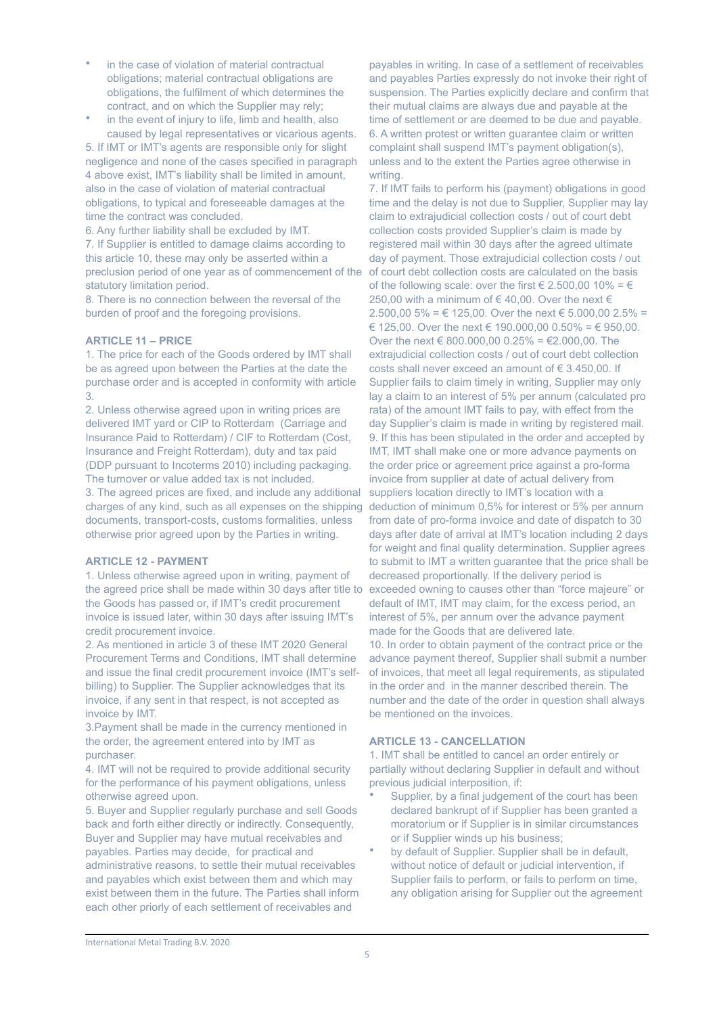- in the case of violation of material contractual obligations; material contractual obligations are obligations, the fulfilment of which determines the contract, and on which the Supplier may rely;
- in the event of injury to life, limb and health, also caused by legal representatives or vicarious agents.

5. If IMT or IMT's agents are responsible only for slight negligence and none of the cases specified in paragraph 4 above exist, IMT's liability shall be limited in amount, also in the case of violation of material contractual obligations, to typical and foreseeable damages at the time the contract was concluded.

6. Any further liability shall be excluded by IMT. 7. If Supplier is entitled to damage claims according to this article 10, these may only be asserted within a preclusion period of one year as of commencement of the statutory limitation period.

8. There is no connection between the reversal of the burden of proof and the foregoing provisions.

# **ARTICLE 11 – PRICE**

1. The price for each of the Goods ordered by IMT shall be as agreed upon between the Parties at the date the purchase order and is accepted in conformity with article 3.

2. Unless otherwise agreed upon in writing prices are delivered IMT yard or CIP to Rotterdam (Carriage and Insurance Paid to Rotterdam) / CIF to Rotterdam (Cost, Insurance and Freight Rotterdam), duty and tax paid (DDP pursuant to Incoterms 2010) including packaging. The turnover or value added tax is not included.

3. The agreed prices are fixed, and include any additional charges of any kind, such as all expenses on the shipping documents, transport-costs, customs formalities, unless otherwise prior agreed upon by the Parties in writing.

### **ARTICLE 12 - PAYMENT**

1. Unless otherwise agreed upon in writing, payment of the agreed price shall be made within 30 days after title to the Goods has passed or, if IMT's credit procurement invoice is issued later, within 30 days after issuing IMT's credit procurement invoice.

2. As mentioned in article 3 of these IMT 2020 General Procurement Terms and Conditions, IMT shall determine and issue the final credit procurement invoice (IMT's selfbilling) to Supplier. The Supplier acknowledges that its invoice, if any sent in that respect, is not accepted as invoice by IMT.

3.Payment shall be made in the currency mentioned in the order, the agreement entered into by IMT as purchaser.

4. IMT will not be required to provide additional security for the performance of his payment obligations, unless otherwise agreed upon.

5. Buyer and Supplier regularly purchase and sell Goods back and forth either directly or indirectly. Consequently, Buyer and Supplier may have mutual receivables and payables. Parties may decide, for practical and administrative reasons, to settle their mutual receivables

and payables which exist between them and which may exist between them in the future. The Parties shall inform each other priorly of each settlement of receivables and

payables in writing. In case of a settlement of receivables and payables Parties expressly do not invoke their right of suspension. The Parties explicitly declare and confirm that their mutual claims are always due and payable at the time of settlement or are deemed to be due and payable. 6. A written protest or written guarantee claim or written complaint shall suspend IMT's payment obligation(s), unless and to the extent the Parties agree otherwise in writing.

7. If IMT fails to perform his (payment) obligations in good time and the delay is not due to Supplier, Supplier may lay claim to extrajudicial collection costs / out of court debt collection costs provided Supplier's claim is made by registered mail within 30 days after the agreed ultimate day of payment. Those extrajudicial collection costs / out of court debt collection costs are calculated on the basis of the following scale: over the first  $\in$  2.500,00 10% =  $\in$ 250,00 with a minimum of €40,00. Over the next  $∈$ 2.500,00 5% = € 125,00. Over the next € 5,000,00 2.5% = € 125,00. Over the next € 190.000,00 0.50% = € 950,00. Over the next € 800,000,00 0.25% = €2,000,00. The extrajudicial collection costs / out of court debt collection costs shall never exceed an amount of € 3.450,00. If Supplier fails to claim timely in writing, Supplier may only lay a claim to an interest of 5% per annum (calculated pro rata) of the amount IMT fails to pay, with effect from the day Supplier's claim is made in writing by registered mail. 9. If this has been stipulated in the order and accepted by IMT, IMT shall make one or more advance payments on the order price or agreement price against a pro-forma invoice from supplier at date of actual delivery from suppliers location directly to IMT's location with a deduction of minimum 0,5% for interest or 5% per annum from date of pro-forma invoice and date of dispatch to 30 days after date of arrival at IMT's location including 2 days for weight and final quality determination. Supplier agrees to submit to IMT a written guarantee that the price shall be decreased proportionally. If the delivery period is exceeded owning to causes other than "force majeure" or default of IMT, IMT may claim, for the excess period, an interest of 5%, per annum over the advance payment made for the Goods that are delivered late. 10. In order to obtain payment of the contract price or the advance payment thereof, Supplier shall submit a number of invoices, that meet all legal requirements, as stipulated in the order and in the manner described therein. The number and the date of the order in question shall always be mentioned on the invoices.

#### **ARTICLE 13 - CANCELLATION**

1. IMT shall be entitled to cancel an order entirely or partially without declaring Supplier in default and without previous judicial interposition, if:

- Supplier, by a final judgement of the court has been declared bankrupt of if Supplier has been granted a moratorium or if Supplier is in similar circumstances or if Supplier winds up his business;
- by default of Supplier. Supplier shall be in default, without notice of default or judicial intervention, if Supplier fails to perform, or fails to perform on time, any obligation arising for Supplier out the agreement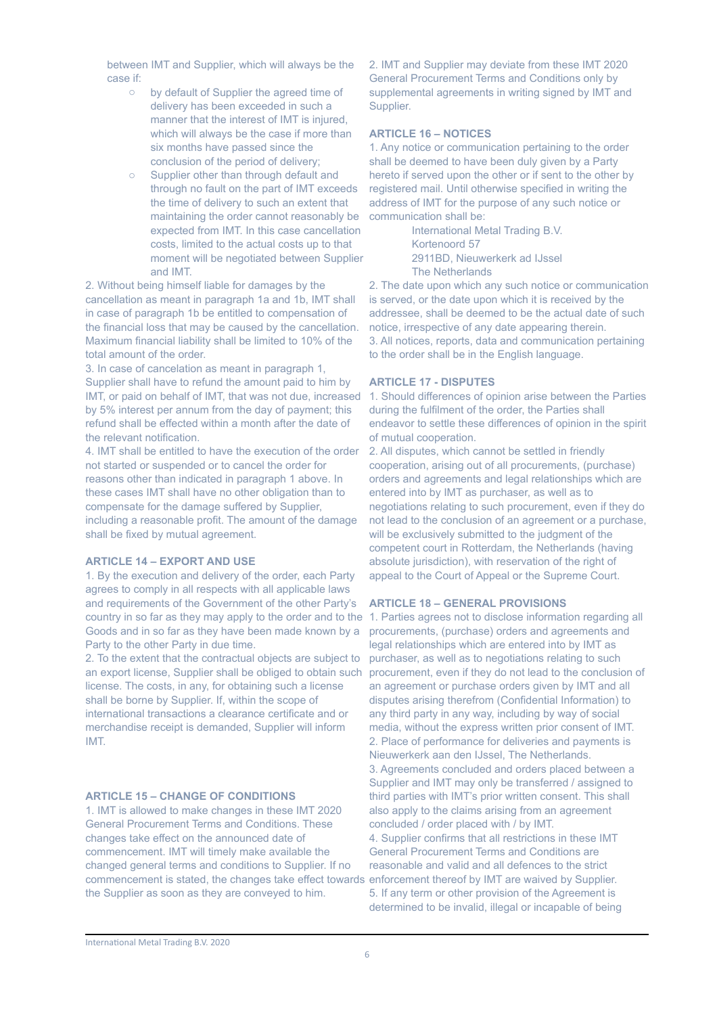between IMT and Supplier, which will always be the case if:

- o by default of Supplier the agreed time of delivery has been exceeded in such a manner that the interest of IMT is injured. which will always be the case if more than six months have passed since the conclusion of the period of delivery;
- o Supplier other than through default and through no fault on the part of IMT exceeds the time of delivery to such an extent that maintaining the order cannot reasonably be expected from IMT. In this case cancellation costs, limited to the actual costs up to that moment will be negotiated between Supplier and IMT.

2. Without being himself liable for damages by the cancellation as meant in paragraph 1a and 1b, IMT shall in case of paragraph 1b be entitled to compensation of the financial loss that may be caused by the cancellation. Maximum financial liability shall be limited to 10% of the total amount of the order.

3. In case of cancelation as meant in paragraph 1, Supplier shall have to refund the amount paid to him by IMT, or paid on behalf of IMT, that was not due, increased by 5% interest per annum from the day of payment; this refund shall be effected within a month after the date of the relevant notification.

4. IMT shall be entitled to have the execution of the order not started or suspended or to cancel the order for reasons other than indicated in paragraph 1 above. In these cases IMT shall have no other obligation than to compensate for the damage suffered by Supplier, including a reasonable profit. The amount of the damage shall be fixed by mutual agreement.

# **ARTICLE 14 – EXPORT AND USE**

1. By the execution and delivery of the order, each Party agrees to comply in all respects with all applicable laws and requirements of the Government of the other Party's Goods and in so far as they have been made known by a Party to the other Party in due time.

2. To the extent that the contractual objects are subject to an export license, Supplier shall be obliged to obtain such license. The costs, in any, for obtaining such a license shall be borne by Supplier. If, within the scope of international transactions a clearance certificate and or merchandise receipt is demanded, Supplier will inform IMT.

## **ARTICLE 15 – CHANGE OF CONDITIONS**

1. IMT is allowed to make changes in these IMT 2020 General Procurement Terms and Conditions. These changes take effect on the announced date of commencement. IMT will timely make available the changed general terms and conditions to Supplier. If no commencement is stated, the changes take effect towards enforcement thereof by IMT are waived by Supplier. the Supplier as soon as they are conveyed to him.

2. IMT and Supplier may deviate from these IMT 2020 General Procurement Terms and Conditions only by supplemental agreements in writing signed by IMT and Supplier.

## **ARTICLE 16 – NOTICES**

1. Any notice or communication pertaining to the order shall be deemed to have been duly given by a Party hereto if served upon the other or if sent to the other by registered mail. Until otherwise specified in writing the address of IMT for the purpose of any such notice or communication shall be:

> International Metal Trading B.V. Kortenoord 57 2911BD, Nieuwerkerk ad IJssel The Netherlands

2. The date upon which any such notice or communication is served, or the date upon which it is received by the addressee, shall be deemed to be the actual date of such notice, irrespective of any date appearing therein. 3. All notices, reports, data and communication pertaining to the order shall be in the English language.

### **ARTICLE 17 - DISPUTES**

1. Should differences of opinion arise between the Parties during the fulfilment of the order, the Parties shall endeavor to settle these differences of opinion in the spirit of mutual cooperation.

2. All disputes, which cannot be settled in friendly cooperation, arising out of all procurements, (purchase) orders and agreements and legal relationships which are entered into by IMT as purchaser, as well as to negotiations relating to such procurement, even if they do not lead to the conclusion of an agreement or a purchase, will be exclusively submitted to the judgment of the competent court in Rotterdam, the Netherlands (having absolute jurisdiction), with reservation of the right of appeal to the Court of Appeal or the Supreme Court.

### **ARTICLE 18 – GENERAL PROVISIONS**

country in so far as they may apply to the order and to the 1. Parties agrees not to disclose information regarding all procurements, (purchase) orders and agreements and legal relationships which are entered into by IMT as purchaser, as well as to negotiations relating to such procurement, even if they do not lead to the conclusion of an agreement or purchase orders given by IMT and all disputes arising therefrom (Confidential Information) to any third party in any way, including by way of social media, without the express written prior consent of IMT. 2. Place of performance for deliveries and payments is Nieuwerkerk aan den IJssel, The Netherlands. 3. Agreements concluded and orders placed between a Supplier and IMT may only be transferred / assigned to third parties with IMT's prior written consent. This shall also apply to the claims arising from an agreement concluded / order placed with / by IMT. 4. Supplier confirms that all restrictions in these IMT General Procurement Terms and Conditions are reasonable and valid and all defences to the strict 5. If any term or other provision of the Agreement is determined to be invalid, illegal or incapable of being